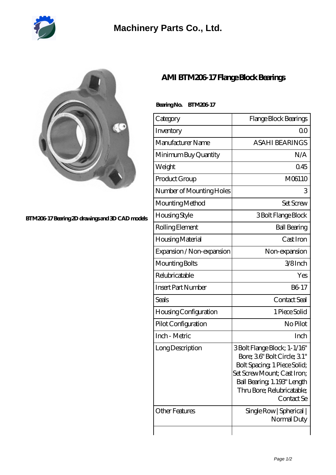

## **[Machinery Parts Co., Ltd.](https://m.diours.com)**



**[BTM206-17 Bearing 2D drawings and 3D CAD models](https://m.diours.com/pic-379878.html)**

## **[AMI BTM206-17 Flange Block Bearings](https://m.diours.com/ami-btm206-17-bearing/)**

## Bearing No. BTM206-17

| Category                  | Flange Block Bearings                                                                                                                                                                                |
|---------------------------|------------------------------------------------------------------------------------------------------------------------------------------------------------------------------------------------------|
| Inventory                 | 0 <sup>0</sup>                                                                                                                                                                                       |
| Manufacturer Name         | <b>ASAHI BEARINGS</b>                                                                                                                                                                                |
| Minimum Buy Quantity      | N/A                                                                                                                                                                                                  |
| Weight                    | 045                                                                                                                                                                                                  |
| Product Group             | M06110                                                                                                                                                                                               |
| Number of Mounting Holes  | 3                                                                                                                                                                                                    |
| Mounting Method           | <b>Set Screw</b>                                                                                                                                                                                     |
| <b>Housing Style</b>      | 3 Bolt Flange Block                                                                                                                                                                                  |
| Rolling Element           | <b>Ball Bearing</b>                                                                                                                                                                                  |
| Housing Material          | Cast Iron                                                                                                                                                                                            |
| Expansion / Non-expansion | Non-expansion                                                                                                                                                                                        |
| Mounting Bolts            | 3/8Inch                                                                                                                                                                                              |
| Relubricatable            | Yes                                                                                                                                                                                                  |
| <b>Insert Part Number</b> | B6-17                                                                                                                                                                                                |
| Seals                     | Contact Seal                                                                                                                                                                                         |
| Housing Configuration     | 1 Piece Solid                                                                                                                                                                                        |
| Pilot Configuration       | No Pilot                                                                                                                                                                                             |
| Inch - Metric             | Inch                                                                                                                                                                                                 |
| Long Description          | 3 Bolt Flange Block; 1-1/16"<br>Bore; 36" Bolt Circle; 31"<br>Bolt Spacing, 1 Piece Solid;<br>Set Screw Mount; Cast Iron;<br>Ball Bearing, 1.193" Length<br>Thru Bore; Relubricatable;<br>Contact Se |
| Other Features            | Single Row   Spherical  <br>Normal Duty                                                                                                                                                              |
|                           |                                                                                                                                                                                                      |